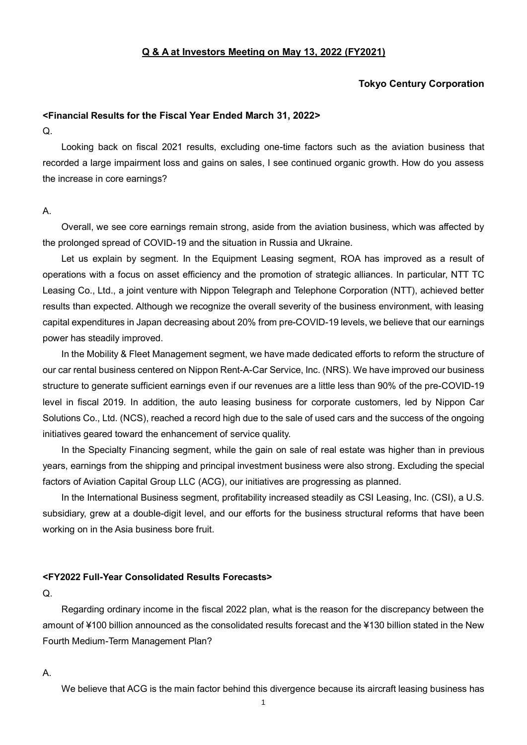### **Q & A at Investors Meeting on May 13, 2022 (FY2021)**

## **Tokyo Century Corporation**

## **<Financial Results for the Fiscal Year Ended March 31, 2022>**

Q.

Looking back on fiscal 2021 results, excluding one-time factors such as the aviation business that recorded a large impairment loss and gains on sales, I see continued organic growth. How do you assess the increase in core earnings?

### A.

Overall, we see core earnings remain strong, aside from the aviation business, which was affected by the prolonged spread of COVID-19 and the situation in Russia and Ukraine.

Let us explain by segment. In the Equipment Leasing segment, ROA has improved as a result of operations with a focus on asset efficiency and the promotion of strategic alliances. In particular, NTT TC Leasing Co., Ltd., a joint venture with Nippon Telegraph and Telephone Corporation (NTT), achieved better results than expected. Although we recognize the overall severity of the business environment, with leasing capital expenditures in Japan decreasing about 20% from pre-COVID-19 levels, we believe that our earnings power has steadily improved.

In the Mobility & Fleet Management segment, we have made dedicated efforts to reform the structure of our car rental business centered on Nippon Rent-A-Car Service, Inc. (NRS). We have improved our business structure to generate sufficient earnings even if our revenues are a little less than 90% of the pre-COVID-19 level in fiscal 2019. In addition, the auto leasing business for corporate customers, led by Nippon Car Solutions Co., Ltd. (NCS), reached a record high due to the sale of used cars and the success of the ongoing initiatives geared toward the enhancement of service quality.

In the Specialty Financing segment, while the gain on sale of real estate was higher than in previous years, earnings from the shipping and principal investment business were also strong. Excluding the special factors of Aviation Capital Group LLC (ACG), our initiatives are progressing as planned.

In the International Business segment, profitability increased steadily as CSI Leasing, Inc. (CSI), a U.S. subsidiary, grew at a double-digit level, and our efforts for the business structural reforms that have been working on in the Asia business bore fruit.

### **<FY2022 Full-Year Consolidated Results Forecasts>**

#### Q.

Regarding ordinary income in the fiscal 2022 plan, what is the reason for the discrepancy between the amount of ¥100 billion announced as the consolidated results forecast and the ¥130 billion stated in the New Fourth Medium-Term Management Plan?

### A.

We believe that ACG is the main factor behind this divergence because its aircraft leasing business has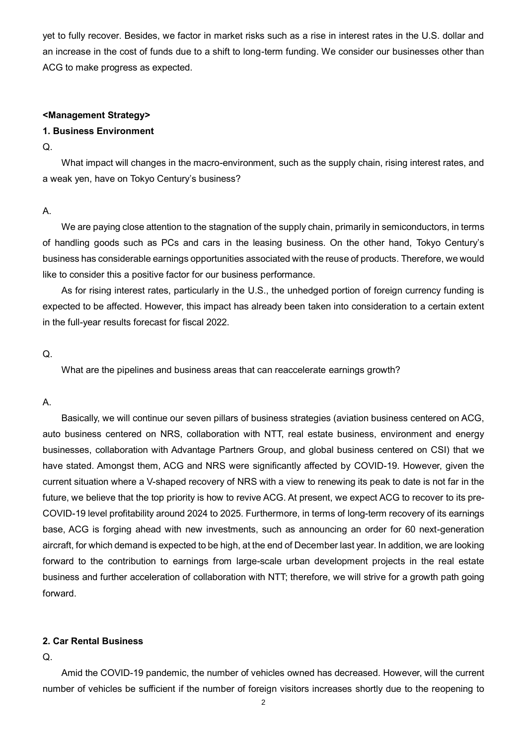yet to fully recover. Besides, we factor in market risks such as a rise in interest rates in the U.S. dollar and an increase in the cost of funds due to a shift to long-term funding. We consider our businesses other than ACG to make progress as expected.

### **<Management Strategy>**

## **1. Business Environment**

#### $\Omega$ .

What impact will changes in the macro-environment, such as the supply chain, rising interest rates, and a weak yen, have on Tokyo Century's business?

### A.

We are paying close attention to the stagnation of the supply chain, primarily in semiconductors, in terms of handling goods such as PCs and cars in the leasing business. On the other hand, Tokyo Century's business has considerable earnings opportunities associated with the reuse of products. Therefore, we would like to consider this a positive factor for our business performance.

As for rising interest rates, particularly in the U.S., the unhedged portion of foreign currency funding is expected to be affected. However, this impact has already been taken into consideration to a certain extent in the full-year results forecast for fiscal 2022.

### Q.

What are the pipelines and business areas that can reaccelerate earnings growth?

### A.

Basically, we will continue our seven pillars of business strategies (aviation business centered on ACG, auto business centered on NRS, collaboration with NTT, real estate business, environment and energy businesses, collaboration with Advantage Partners Group, and global business centered on CSI) that we have stated. Amongst them, ACG and NRS were significantly affected by COVID-19. However, given the current situation where a V-shaped recovery of NRS with a view to renewing its peak to date is not far in the future, we believe that the top priority is how to revive ACG. At present, we expect ACG to recover to its pre-COVID-19 level profitability around 2024 to 2025. Furthermore, in terms of long-term recovery of its earnings base, ACG is forging ahead with new investments, such as announcing an order for 60 next-generation aircraft, for which demand is expected to be high, at the end of December last year. In addition, we are looking forward to the contribution to earnings from large-scale urban development projects in the real estate business and further acceleration of collaboration with NTT; therefore, we will strive for a growth path going forward.

### **2. Car Rental Business**

Q.

Amid the COVID-19 pandemic, the number of vehicles owned has decreased. However, will the current number of vehicles be sufficient if the number of foreign visitors increases shortly due to the reopening to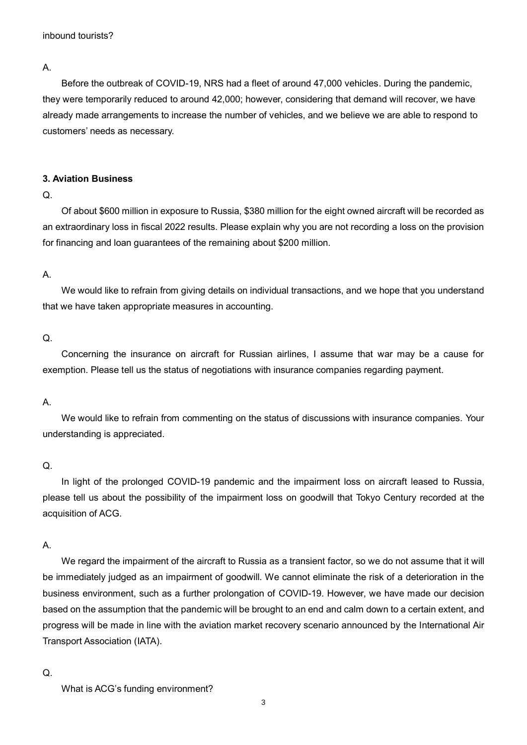A.

Before the outbreak of COVID-19, NRS had a fleet of around 47,000 vehicles. During the pandemic, they were temporarily reduced to around 42,000; however, considering that demand will recover, we have already made arrangements to increase the number of vehicles, and we believe we are able to respond to customers' needs as necessary.

## **3. Aviation Business**

## Q.

Of about \$600 million in exposure to Russia, \$380 million for the eight owned aircraft will be recorded as an extraordinary loss in fiscal 2022 results. Please explain why you are not recording a loss on the provision for financing and loan guarantees of the remaining about \$200 million.

# A.

We would like to refrain from giving details on individual transactions, and we hope that you understand that we have taken appropriate measures in accounting.

# $Q<sub>1</sub>$

Concerning the insurance on aircraft for Russian airlines, I assume that war may be a cause for exemption. Please tell us the status of negotiations with insurance companies regarding payment.

## A.

We would like to refrain from commenting on the status of discussions with insurance companies. Your understanding is appreciated.

# Q.

In light of the prolonged COVID-19 pandemic and the impairment loss on aircraft leased to Russia, please tell us about the possibility of the impairment loss on goodwill that Tokyo Century recorded at the acquisition of ACG.

## A.

We regard the impairment of the aircraft to Russia as a transient factor, so we do not assume that it will be immediately judged as an impairment of goodwill. We cannot eliminate the risk of a deterioration in the business environment, such as a further prolongation of COVID-19. However, we have made our decision based on the assumption that the pandemic will be brought to an end and calm down to a certain extent, and progress will be made in line with the aviation market recovery scenario announced by the International Air Transport Association (IATA).

## Q.

What is ACG's funding environment?